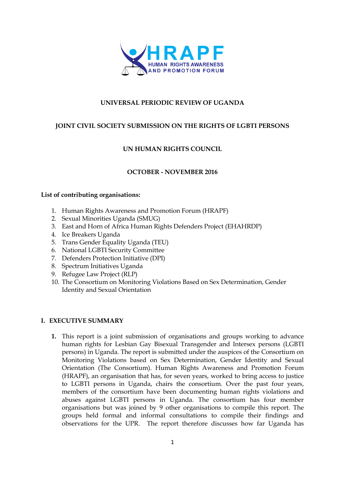

## **UNIVERSAL PERIODIC REVIEW OF UGANDA**

### **JOINT CIVIL SOCIETY SUBMISSION ON THE RIGHTS OF LGBTI PERSONS**

### **UN HUMAN RIGHTS COUNCIL**

### **OCTOBER - NOVEMBER 2016**

### **List of contributing organisations:**

- 1. Human Rights Awareness and Promotion Forum (HRAPF)
- 2. Sexual Minorities Uganda (SMUG)
- 3. East and Horn of Africa Human Rights Defenders Project (EHAHRDP)
- 4. Ice Breakers Uganda
- 5. Trans Gender Equality Uganda (TEU)
- 6. National LGBTI Security Committee
- 7. Defenders Protection Initiative (DPI)
- 8. Spectrum Initiatives Uganda
- 9. Refugee Law Project (RLP)
- 10. The Consortium on Monitoring Violations Based on Sex Determination, Gender Identity and Sexual Orientation

### **I. EXECUTIVE SUMMARY**

**1.** This report is a joint submission of organisations and groups working to advance human rights for Lesbian Gay Bisexual Transgender and Intersex persons (LGBTI persons) in Uganda. The report is submitted under the auspices of the Consortium on Monitoring Violations based on Sex Determination, Gender Identity and Sexual Orientation (The Consortium). Human Rights Awareness and Promotion Forum (HRAPF), an organisation that has, for seven years, worked to bring access to justice to LGBTI persons in Uganda, chairs the consortium. Over the past four years, members of the consortium have been documenting human rights violations and abuses against LGBTI persons in Uganda. The consortium has four member organisations but was joined by 9 other organisations to compile this report. The groups held formal and informal consultations to compile their findings and observations for the UPR. The report therefore discusses how far Uganda has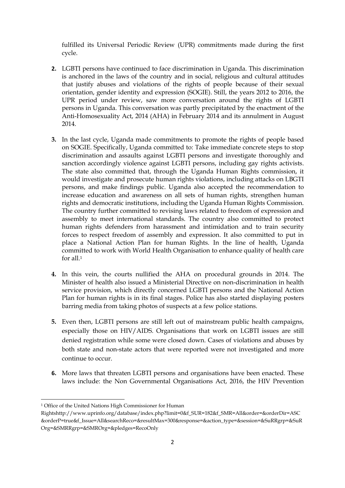fulfilled its Universal Periodic Review (UPR) commitments made during the first cycle.

- **2.** LGBTI persons have continued to face discrimination in Uganda. This discrimination is anchored in the laws of the country and in social, religious and cultural attitudes that justify abuses and violations of the rights of people because of their sexual orientation, gender identity and expression (SOGIE). Still, the years 2012 to 2016, the UPR period under review, saw more conversation around the rights of LGBTI persons in Uganda. This conversation was partly precipitated by the enactment of the Anti-Homosexuality Act, 2014 (AHA) in February 2014 and its annulment in August 2014.
- **3.** In the last cycle, Uganda made commitments to promote the rights of people based on SOGIE. Specifically, Uganda committed to: Take immediate concrete steps to stop discrimination and assaults against LGBTI persons and investigate thoroughly and sanction accordingly violence against LGBTI persons, including gay rights activists. The state also committed that, through the Uganda Human Rights commission, it would investigate and prosecute human rights violations, including attacks on LBGTI persons, and make findings public. Uganda also accepted the recommendation to increase education and awareness on all sets of human rights, strengthen human rights and democratic institutions, including the Uganda Human Rights Commission. The country further committed to revising laws related to freedom of expression and assembly to meet international standards. The country also committed to protect human rights defenders from harassment and intimidation and to train security forces to respect freedom of assembly and expression. It also committed to put in place a National Action Plan for human Rights. In the line of health, Uganda committed to work with World Health Organisation to enhance quality of health care for all.<sup>1</sup>
- **4.** In this vein, the courts nullified the AHA on procedural grounds in 2014. The Minister of health also issued a Ministerial Directive on non-discrimination in health service provision, which directly concerned LGBTI persons and the National Action Plan for human rights is in its final stages. Police has also started displaying posters barring media from taking photos of suspects at a few police stations.
- **5.** Even then, LGBTI persons are still left out of mainstream public health campaigns, especially those on HIV/AIDS. Organisations that work on LGBTI issues are still denied registration while some were closed down. Cases of violations and abuses by both state and non-state actors that were reported were not investigated and more continue to occur.
- **6.** More laws that threaten LGBTI persons and organisations have been enacted. These laws include: the Non Governmental Organisations Act, 2016, the HIV Prevention

1

<sup>1</sup> Office of the United Nations High Commissioner for Human

Rightshttp://www.uprinfo.org/database/index.php?limit=0&f\_SUR=182&f\_SMR=All&order=&orderDir=ASC &orderP=true&f\_Issue=All&searchReco=&resultMax=300&response=&action\_type=&session=&SuRRgrp=&SuR Org=&SMRRgrp=&SMROrg=&pledges=RecoOnly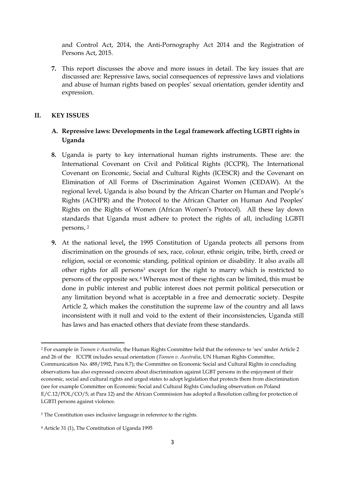and Control Act, 2014, the Anti-Pornography Act 2014 and the Registration of Persons Act, 2015.

**7.** This report discusses the above and more issues in detail. The key issues that are discussed are: Repressive laws, social consequences of repressive laws and violations and abuse of human rights based on peoples' sexual orientation, gender identity and expression.

#### **II. KEY ISSUES**

**.** 

## **A. Repressive laws: Developments in the Legal framework affecting LGBTI rights in Uganda**

- **8.** Uganda is party to key international human rights instruments. These are: the International Covenant on Civil and Political Rights (ICCPR), The International Covenant on Economic, Social and Cultural Rights (ICESCR) and the Covenant on Elimination of All Forms of Discrimination Against Women (CEDAW). At the regional level, Uganda is also bound by the African Charter on Human and People's Rights (ACHPR) and the Protocol to the African Charter on Human And Peoples' Rights on the Rights of Women (African Women's Protocol). All these lay down standards that Uganda must adhere to protect the rights of all, including LGBTI persons, 2
- **9.** At the national level**,** the 1995 Constitution of Uganda protects all persons from discrimination on the grounds of sex, race, colour, ethnic origin, tribe, birth, creed or religion, social or economic standing, political opinion or disability. It also avails all other rights for all persons<sup>3</sup> except for the right to marry which is restricted to persons of the opposite sex.<sup>4</sup> Whereas most of these rights can be limited, this must be done in public interest and public interest does not permit political persecution or any limitation beyond what is acceptable in a free and democratic society. Despite Article 2, which makes the constitution the supreme law of the country and all laws inconsistent with it null and void to the extent of their inconsistencies, Uganda still has laws and has enacted others that deviate from these standards.

<sup>2</sup> For example in *Toonen v Australia*, the Human Rights Committee held that the reference to 'sex' under Article 2 and 26 of the ICCPR includes sexual orientation (*Toonen v. Australia*, UN Human Rights Committee, Communication No. 488/1992, Para 8.7); the Committee on Economic Social and Cultural Rights in concluding observations has also expressed concern about discrimination against LGBT persons in the enjoyment of their economic, social and cultural rights and urged states to adopt legislation that protects them from discrimination (see for example Committee on Economic Social and Cultural Rights Concluding observation on Poland E/C.12/POL/CO/5; at Para 12) and the African Commission has adopted a Resolution calling for protection of LGBTI persons against violence.

<sup>&</sup>lt;sup>3</sup> The Constitution uses inclusive language in reference to the rights.

<sup>4</sup> Article 31 (1), The Constitution of Uganda 1995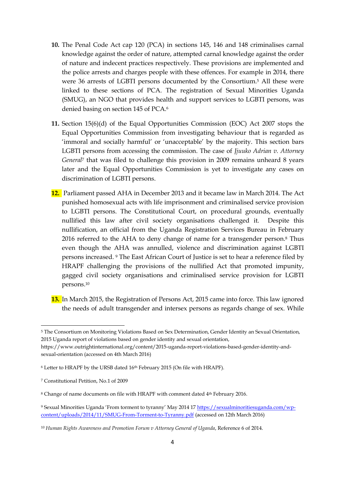- **10.** The Penal Code Act cap 120 (PCA) in sections 145, 146 and 148 criminalises carnal knowledge against the order of nature, attempted carnal knowledge against the order of nature and indecent practices respectively. These provisions are implemented and the police arrests and charges people with these offences. For example in 2014, there were 36 arrests of LGBTI persons documented by the Consortium. <sup>5</sup> All these were linked to these sections of PCA. The registration of Sexual Minorities Uganda (SMUG), an NGO that provides health and support services to LGBTI persons, was denied basing on section 145 of PCA.<sup>6</sup>
- **11.** Section 15(6)(d) of the Equal Opportunities Commission (EOC) Act 2007 stops the Equal Opportunities Commission from investigating behaviour that is regarded as 'immoral and socially harmful' or 'unacceptable' by the majority. This section bars LGBTI persons from accessing the commission. The case of *Jjuuko Adrian v. Attorney General*<sup>7</sup> that was filed to challenge this provision in 2009 remains unheard 8 years later and the Equal Opportunities Commission is yet to investigate any cases on discrimination of LGBTI persons.
- **12.** Parliament passed AHA in December 2013 and it became law in March 2014. The Act punished homosexual acts with life imprisonment and criminalised service provision to LGBTI persons. The Constitutional Court, on procedural grounds, eventually nullified this law after civil society organisations challenged it. Despite this nullification, an official from the Uganda Registration Services Bureau in February 2016 referred to the AHA to deny change of name for a transgender person. <sup>8</sup> Thus even though the AHA was annulled, violence and discrimination against LGBTI persons increased. <sup>9</sup> The East African Court of Justice is set to hear a reference filed by HRAPF challenging the provisions of the nullified Act that promoted impunity, gagged civil society organisations and criminalised service provision for LGBTI persons.<sup>10</sup>
- **13.** In March 2015, the Registration of Persons Act, 2015 came into force. This law ignored the needs of adult transgender and intersex persons as regards change of sex. While

**.** 

<sup>5</sup> The Consortium on Monitoring Violations Based on Sex Determination, Gender Identity an Sexual Orientation, 2015 Uganda report of violations based on gender identity and sexual orientation,

https://www.outrightinternational.org/content/2015-uganda-report-violations-based-gender-identity-andsexual-orientation (accessed on 4th March 2016)

<sup>6</sup> Letter to HRAPF by the URSB dated 16th February 2015 (On file with HRAPF).

<sup>7</sup> Constitutional Petition, No.1 of 2009

<sup>&</sup>lt;sup>8</sup> Change of name documents on file with HRAPF with comment dated 4<sup>th</sup> February 2016.

<sup>9</sup> Sexual Minorities Uganda 'From torment to tyranny' May 2014 17 [https://sexualminoritiesuganda.com/wp](https://sexualminoritiesuganda.com/wp-content/uploads/2014/11/SMUG-From-Torment-to-Tyranny.pdf)[content/uploads/2014/11/SMUG-From-Torment-to-Tyranny.pdf](https://sexualminoritiesuganda.com/wp-content/uploads/2014/11/SMUG-From-Torment-to-Tyranny.pdf) (accessed on 12th March 2016)

<sup>10</sup> *Human Rights Awareness and Promotion Forum v Attorney General of Uganda*, Reference 6 of 2014.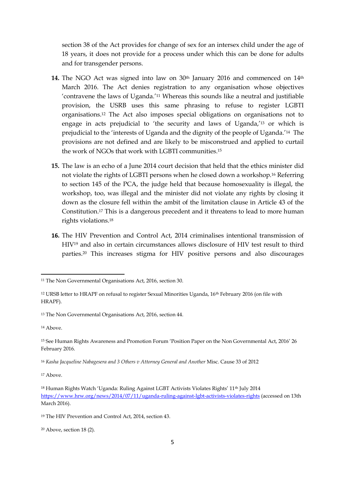section 38 of the Act provides for change of sex for an intersex child under the age of 18 years, it does not provide for a process under which this can be done for adults and for transgender persons.

- 14. The NGO Act was signed into law on 30<sup>th</sup> January 2016 and commenced on 14<sup>th</sup> March 2016. The Act denies registration to any organisation whose objectives 'contravene the laws of Uganda.'<sup>11</sup> Whereas this sounds like a neutral and justifiable provision, the USRB uses this same phrasing to refuse to register LGBTI organisations.<sup>12</sup> The Act also imposes special obligations on organisations not to engage in acts prejudicial to 'the security and laws of Uganda,'<sup>13</sup> or which is prejudicial to the 'interests of Uganda and the dignity of the people of Uganda.'<sup>14</sup> The provisions are not defined and are likely to be misconstrued and applied to curtail the work of NGOs that work with LGBTI communities. 15
- **15.** The law is an echo of a June 2014 court decision that held that the ethics minister did not violate the rights of LGBTI persons when he closed down a workshop.<sup>16</sup> Referring to section 145 of the PCA, the judge held that because homosexuality is illegal, the workshop, too, was illegal and the minister did not violate any rights by closing it down as the closure fell within the ambit of the limitation clause in Article 43 of the Constitution. <sup>17</sup> This is a dangerous precedent and it threatens to lead to more human rights violations. 18
- **16.** The HIV Prevention and Control Act, 2014 criminalises intentional transmission of HIV<sup>19</sup> and also in certain circumstances allows disclosure of HIV test result to third parties.<sup>20</sup> This increases stigma for HIV positive persons and also discourages

<sup>14</sup> Above.

1

 $17$  Above

<sup>11</sup> The Non Governmental Organisations Act, 2016, section 30.

<sup>12</sup> URSB letter to HRAPF on refusal to register Sexual Minorities Uganda, 16th February 2016 (on file with HRAPF).

<sup>13</sup> The Non Governmental Organisations Act, 2016, section 44.

<sup>15</sup> See Human Rights Awareness and Promotion Forum 'Position Paper on the Non Governmental Act, 2016' 26 February 2016.

<sup>16</sup> *Kasha Jacqueline Nabagesera and 3 Others v Attorney General and Another* Misc. Cause 33 of 2012

<sup>&</sup>lt;sup>18</sup> Human Rights Watch 'Uganda: Ruling Against LGBT Activists Violates Rights' 11<sup>th</sup> July 2014 <https://www.hrw.org/news/2014/07/11/uganda-ruling-against-lgbt-activists-violates-rights> (accessed on 13th March 2016).

<sup>19</sup> The HIV Prevention and Control Act, 2014, section 43.

<sup>20</sup> Above, section 18 (2).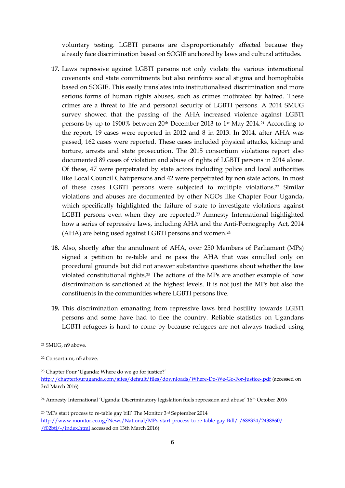voluntary testing. LGBTI persons are disproportionately affected because they already face discrimination based on SOGIE anchored by laws and cultural attitudes.

- **17.** Laws repressive against LGBTI persons not only violate the various international covenants and state commitments but also reinforce social stigma and homophobia based on SOGIE. This easily translates into institutionalised discrimination and more serious forms of human rights abuses, such as crimes motivated by hatred. These crimes are a threat to life and personal security of LGBTI persons. A 2014 SMUG survey showed that the passing of the AHA increased violence against LGBTI persons by up to 1900% between 20<sup>th</sup> December 2013 to 1<sup>st</sup> May 2014.<sup>21</sup> According to the report, 19 cases were reported in 2012 and 8 in 2013. In 2014, after AHA was passed, 162 cases were reported. These cases included physical attacks, kidnap and torture, arrests and state prosecution. The 2015 consortium violations report also documented 89 cases of violation and abuse of rights of LGBTI persons in 2014 alone. Of these, 47 were perpetrated by state actors including police and local authorities like Local Council Chairpersons and 42 were perpetrated by non state actors. In most of these cases LGBTI persons were subjected to multiple violations. <sup>22</sup> Similar violations and abuses are documented by other NGOs like Chapter Four Uganda, which specifically highlighted the failure of state to investigate violations against LGBTI persons even when they are reported.<sup>23</sup> Amnesty International highlighted how a series of repressive laws, including AHA and the Anti-Pornography Act, 2014 (AHA) are being used against LGBTI persons and women.<sup>24</sup>
- **18.** Also, shortly after the annulment of AHA, over 250 Members of Parliament (MPs) signed a petition to re-table and re pass the AHA that was annulled only on procedural grounds but did not answer substantive questions about whether the law violated constitutional rights.<sup>25</sup> The actions of the MPs are another example of how discrimination is sanctioned at the highest levels. It is not just the MPs but also the constituents in the communities where LGBTI persons live.
- **19.** This discrimination emanating from repressive laws bred hostility towards LGBTI persons and some have had to flee the country. Reliable statistics on Ugandans LGBTI refugees is hard to come by because refugees are not always tracked using

1

<sup>23</sup> Chapter Four 'Uganda: Where do we go for justice?' <http://chapterfouruganda.com/sites/default/files/downloads/Where-Do-We-Go-For-Justice-.pdf> (accessed on 3rd March 2016)

<sup>24</sup> Amnesty International 'Uganda: Discriminatory legislation fuels repression and abuse' 16<sup>th</sup> October 2016

<sup>21</sup> SMUG, n9 above.

<sup>22</sup> Consortium, n5 above.

<sup>25</sup> 'MPs start process to re-table gay bill' The Monitor 3rd September 2014 [http://www.monitor.co.ug/News/National/MPs-start-process-to-re-table-gay-Bill/-/688334/2438860/-](http://www.monitor.co.ug/News/National/MPs-start-process-to-re-table-gay-Bill/-/688334/2438860/-/f02btj/-/index.html) [/f02btj/-/index.html](http://www.monitor.co.ug/News/National/MPs-start-process-to-re-table-gay-Bill/-/688334/2438860/-/f02btj/-/index.html) accessed on 13th March 2016)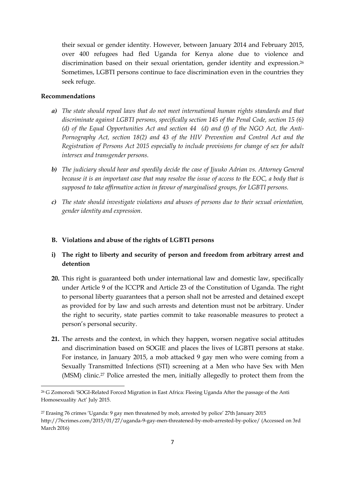their sexual or gender identity. However, between January 2014 and February 2015, over 400 refugees had fled Uganda for Kenya alone due to violence and discrimination based on their sexual orientation, gender identity and expression. 26 Sometimes, LGBTI persons continue to face discrimination even in the countries they seek refuge.

### **Recommendations**

1

- *a) The state should repeal laws that do not meet international human rights standards and that discriminate against LGBTI persons, specifically section 145 of the Penal Code, section 15 (6) (d) of the Equal Opportunities Act and section 44 (d) and (f) of the NGO Act, the Anti-Pornography Act, section 18(2) and 43 of the HIV Prevention and Control Act and the Registration of Persons Act 2015 especially to include provisions for change of sex for adult intersex and transgender persons.*
- *b) The judiciary should hear and speedily decide the case of Jjuuko Adrian vs. Attorney General because it is an important case that may resolve the issue of access to the EOC, a body that is supposed to take affirmative action in favour of marginalised groups, for LGBTI persons.*
- *c) The state should investigate violations and abuses of persons due to their sexual orientation, gender identity and expression.*

#### **B. Violations and abuse of the rights of LGBTI persons**

- **i) The right to liberty and security of person and freedom from arbitrary arrest and detention**
- **20.** This right is guaranteed both under international law and domestic law, specifically under Article 9 of the ICCPR and Article 23 of the Constitution of Uganda. The right to personal liberty guarantees that a person shall not be arrested and detained except as provided for by law and such arrests and detention must not be arbitrary. Under the right to security, state parties commit to take reasonable measures to protect a person's personal security.
- **21.** The arrests and the context, in which they happen, worsen negative social attitudes and discrimination based on SOGIE and places the lives of LGBTI persons at stake. For instance, in January 2015, a mob attacked 9 gay men who were coming from a Sexually Transmitted Infections (STI) screening at a Men who have Sex with Men (MSM) clinic.<sup>27</sup> Police arrested the men, initially allegedly to protect them from the

<sup>26</sup> G Zomorodi 'SOGI-Related Forced Migration in East Africa: Fleeing Uganda After the passage of the Anti Homosexuality Act' July 2015.

<sup>27</sup> Erasing 76 crimes 'Uganda: 9 gay men threatened by mob, arrested by police' 27th January 2015 http://76crimes.com/2015/01/27/uganda-9-gay-men-threatened-by-mob-arrested-by-police/ (Accessed on 3rd March 2016)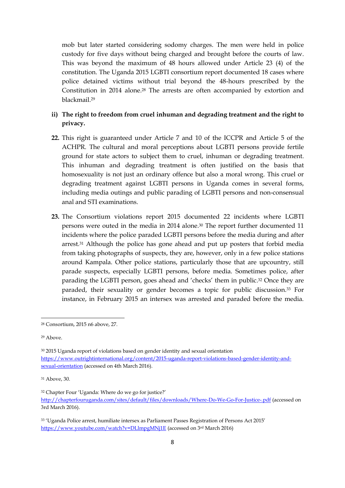mob but later started considering sodomy charges. The men were held in police custody for five days without being charged and brought before the courts of law. This was beyond the maximum of 48 hours allowed under Article 23 (4) of the constitution. The Uganda 2015 LGBTI consortium report documented 18 cases where police detained victims without trial beyond the 48-hours prescribed by the Constitution in 2014 alone. <sup>28</sup> The arrests are often accompanied by extortion and blackmail.<sup>29</sup>

# **ii) The right to freedom from cruel inhuman and degrading treatment and the right to privacy.**

- **22.** This right is guaranteed under Article 7 and 10 of the ICCPR and Article 5 of the ACHPR. The cultural and moral perceptions about LGBTI persons provide fertile ground for state actors to subject them to cruel, inhuman or degrading treatment. This inhuman and degrading treatment is often justified on the basis that homosexuality is not just an ordinary offence but also a moral wrong. This cruel or degrading treatment against LGBTI persons in Uganda comes in several forms, including media outings and public parading of LGBTI persons and non-consensual anal and STI examinations.
- **23.** The Consortium violations report 2015 documented 22 incidents where LGBTI persons were outed in the media in 2014 alone. <sup>30</sup> The report further documented 11 incidents where the police paraded LGBTI persons before the media during and after arrest.<sup>31</sup> Although the police has gone ahead and put up posters that forbid media from taking photographs of suspects, they are, however, only in a few police stations around Kampala. Other police stations, particularly those that are upcountry, still parade suspects, especially LGBTI persons, before media. Sometimes police, after parading the LGBTI person, goes ahead and 'checks' them in public.<sup>32</sup> Once they are paraded, their sexuality or gender becomes a topic for public discussion.<sup>33</sup> For instance, in February 2015 an intersex was arrested and paraded before the media.

**.** 

<sup>28</sup> Consortium, 2015 n6 above, 27.

<sup>29</sup> Above.

<sup>30</sup> 2015 Uganda report of violations based on gender identity and sexual orientation [https://www.outrightinternational.org/content/2015-uganda-report-violations-based-gender-identity-and](https://www.outrightinternational.org/content/2015-uganda-report-violations-based-gender-identity-and-sexual-orientation)[sexual-orientation](https://www.outrightinternational.org/content/2015-uganda-report-violations-based-gender-identity-and-sexual-orientation) (accessed on 4th March 2016).

<sup>31</sup> Above, 30.

<sup>32</sup> Chapter Four 'Uganda: Where do we go for justice?' <http://chapterfouruganda.com/sites/default/files/downloads/Where-Do-We-Go-For-Justice-.pdf> (accessed on 3rd March 2016).

<sup>33</sup> 'Uganda Police arrest, humiliate intersex as Parliament Passes Registration of Persons Act 2015' <https://www.youtube.com/watch?v=DLlmpgMNj1E> (accessed on 3rd March 2016)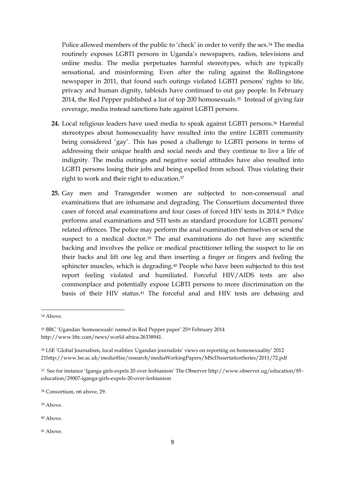Police allowed members of the public to 'check' in order to verify the sex.<sup>34</sup> The media routinely exposes LGBTI persons in Uganda's newspapers, radios, televisions and online media. The media perpetuates harmful stereotypes, which are typically sensational, and misinforming. Even after the ruling against the Rollingstone newspaper in 2011, that found such outings violated LGBTI persons' rights to life, privacy and human dignity, tabloids have continued to out gay people. In February 2014, the Red Pepper published a list of top 200 homosexuals. <sup>35</sup> Instead of giving fair coverage, media instead sanctions hate against LGBTI persons.

- **24.** Local religious leaders have used media to speak against LGBTI persons. <sup>36</sup> Harmful stereotypes about homosexuality have resulted into the entire LGBTI community being considered 'gay'. This has posed a challenge to LGBTI persons in terms of addressing their unique health and social needs and they continue to live a life of indignity. The media outings and negative social attitudes have also resulted into LGBTI persons losing their jobs and being expelled from school. Thus violating their right to work and their right to education. 37
- **25.** Gay men and Transgender women are subjected to non-consensual anal examinations that are inhumane and degrading. The Consortium documented three cases of forced anal examinations and four cases of forced HIV tests in 2014. <sup>38</sup> Police performs anal examinations and STI tests as standard procedure for LGBTI persons' related offences. The police may perform the anal examination themselves or send the suspect to a medical doctor.<sup>39</sup> The anal examinations do not have any scientific backing and involves the police or medical practitioner telling the suspect to lie on their backs and lift one leg and then inserting a finger or fingers and feeling the sphincter muscles, which is degrading. <sup>40</sup> People who have been subjected to this test report feeling violated and humiliated. Forceful HIV/AIDS tests are also commonplace and potentially expose LGBTI persons to more discrimination on the basis of their HIV status.<sup>41</sup> The forceful anal and HIV tests are debasing and

1

<sup>39</sup> Above.

<sup>41</sup> Above.

<sup>34</sup> Above.

<sup>35</sup> BBC 'Ugandan 'homosexuals' named in Red Pepper paper' 25<sup>th</sup> February 2014 http://www.bbc.com/news/world-africa-26338941.

<sup>36</sup> LSE 'Global Journalism, local realities: Ugandan journalists' views on reporting on homosexuality' 2012 21http://www.lse.ac.uk/media@lse/research/mediaWorkingPapers/MScDissertationSeries/2011/72.pdf

<sup>37</sup> See for instance 'Iganga girls expels 20 over lesbianism' The Observer http://www.observer.ug/education/85 education/29007-iganga-girls-expels-20-over-lesbianism

<sup>38</sup> Consortium, n6 above, 29.

<sup>40</sup> Above.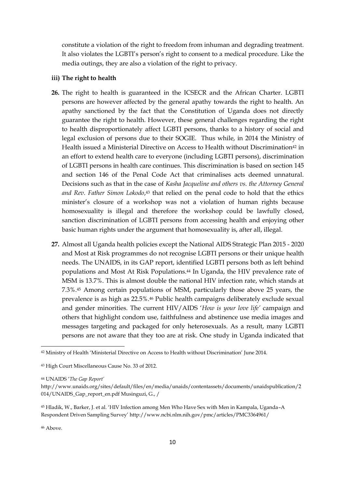constitute a violation of the right to freedom from inhuman and degrading treatment. It also violates the LGBTI's person's right to consent to a medical procedure. Like the media outings, they are also a violation of the right to privacy.

#### **iii) The right to health**

- **26.** The right to health is guaranteed in the ICSECR and the African Charter. LGBTI persons are however affected by the general apathy towards the right to health. An apathy sanctioned by the fact that the Constitution of Uganda does not directly guarantee the right to health. However, these general challenges regarding the right to health disproportionately affect LGBTI persons, thanks to a history of social and legal exclusion of persons due to their SOGIE. Thus while, in 2014 the Ministry of Health issued a Ministerial Directive on Access to Health without Discrimination<sup>42</sup> in an effort to extend health care to everyone (including LGBTI persons), discrimination of LGBTI persons in health care continues. This discrimination is based on section 145 and section 146 of the Penal Code Act that criminalises acts deemed unnatural. Decisions such as that in the case of *Kasha Jacqueline and others vs. the Attorney General*  and Rev. Father Simon Lokodo,<sup>43</sup> that relied on the penal code to hold that the ethics minister's closure of a workshop was not a violation of human rights because homosexuality is illegal and therefore the workshop could be lawfully closed, sanction discrimination of LGBTI persons from accessing health and enjoying other basic human rights under the argument that homosexuality is, after all, illegal.
- **27.** Almost all Uganda health policies except the National AIDS Strategic Plan 2015 2020 and Most at Risk programmes do not recognise LGBTI persons or their unique health needs. The UNAIDS, in its GAP report, identified LGBTI persons both as left behind populations and Most At Risk Populations.<sup>44</sup> In Uganda, the HIV prevalence rate of MSM is 13.7%. This is almost double the national HIV infection rate, which stands at 7.3%.<sup>45</sup> Among certain populations of MSM, particularly those above 25 years, the prevalence is as high as 22.5%.<sup>46</sup> Public health campaigns deliberately exclude sexual and gender minorities. The current HIV/AIDS '*How is your love life'* campaign and others that highlight condom use, faithfulness and abstinence use media images and messages targeting and packaged for only heterosexuals. As a result, many LGBTI persons are not aware that they too are at risk. One study in Uganda indicated that

<sup>44</sup> UNAIDS '*The Gap Report'*

<sup>46</sup> Above.

1

<sup>42</sup> Ministry of Health 'Ministerial Directive on Access to Health without Discrimination' June 2014.

<sup>43</sup> High Court Miscellaneous Cause No. 33 of 2012.

http://www.unaids.org/sites/default/files/en/media/unaids/contentassets/documents/unaidspublication/2 014/UNAIDS\_Gap\_report\_en.pdf Musinguzi, G., /

<sup>45</sup> Hladik, W., Barker, J. et al. 'HIV Infection among Men Who Have Sex with Men in Kampala, Uganda–A Respondent Driven Sampling Survey' http://www.ncbi.nlm.nih.gov/pmc/articles/PMC3364961/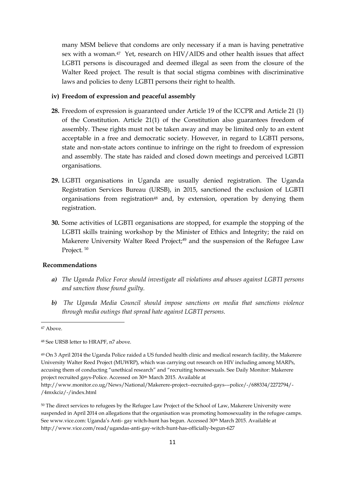many MSM believe that condoms are only necessary if a man is having penetrative sex with a woman.<sup>47</sup> Yet, research on HIV/AIDS and other health issues that affect LGBTI persons is discouraged and deemed illegal as seen from the closure of the Walter Reed project. The result is that social stigma combines with discriminative laws and policies to deny LGBTI persons their right to health.

### **iv) Freedom of expression and peaceful assembly**

- **28.** Freedom of expression is guaranteed under Article 19 of the ICCPR and Article 21 (1) of the Constitution. Article 21(1) of the Constitution also guarantees freedom of assembly. These rights must not be taken away and may be limited only to an extent acceptable in a free and democratic society. However, in regard to LGBTI persons, state and non-state actors continue to infringe on the right to freedom of expression and assembly. The state has raided and closed down meetings and perceived LGBTI organisations.
- **29.** LGBTI organisations in Uganda are usually denied registration. The Uganda Registration Services Bureau (URSB), in 2015, sanctioned the exclusion of LGBTI organisations from registration<sup>48</sup> and, by extension, operation by denying them registration.
- **30.** Some activities of LGBTI organisations are stopped, for example the stopping of the LGBTI skills training workshop by the Minister of Ethics and Integrity; the raid on Makerere University Walter Reed Project;<sup>49</sup> and the suspension of the Refugee Law Project.<sup>50</sup>

#### **Recommendations**

- *a) The Uganda Police Force should investigate all violations and abuses against LGBTI persons and sanction those found guilty.*
- *b) The Uganda Media Council should impose sanctions on media that sanctions violence through media outings that spread hate against LGBTI persons.*

**.** 

<sup>47</sup> Above.

<sup>48</sup> See URSB letter to HRAPF, n7 above.

<sup>49</sup> On 3 April 2014 the Uganda Police raided a US funded health clinic and medical research facility, the Makerere University Walter Reed Project (MUWRP), which was carrying out research on HIV including among MARPs, accusing them of conducting "unethical research" and "recruiting homosexuals. See Daily Monitor: Makerere project recruited gays-Police. Accessed on 30th March 2015. Available at http://www.monitor.co.ug/News/National/Makerere-project--recruited-gays---police/-/688334/2272794/-

<sup>/4</sup>mxkciz/-/index.html

<sup>50</sup> The direct services to refugees by the Refugee Law Project of the School of Law, Makerere University were suspended in April 2014 on allegations that the organisation was promoting homosexuality in the refugee camps. See www.vice.com: Uganda's Anti- gay witch-hunt has begun. Accessed 30<sup>th</sup> March 2015. Available at http://www.vice.com/read/ugandas-anti-gay-witch-hunt-has-officially-begun-627